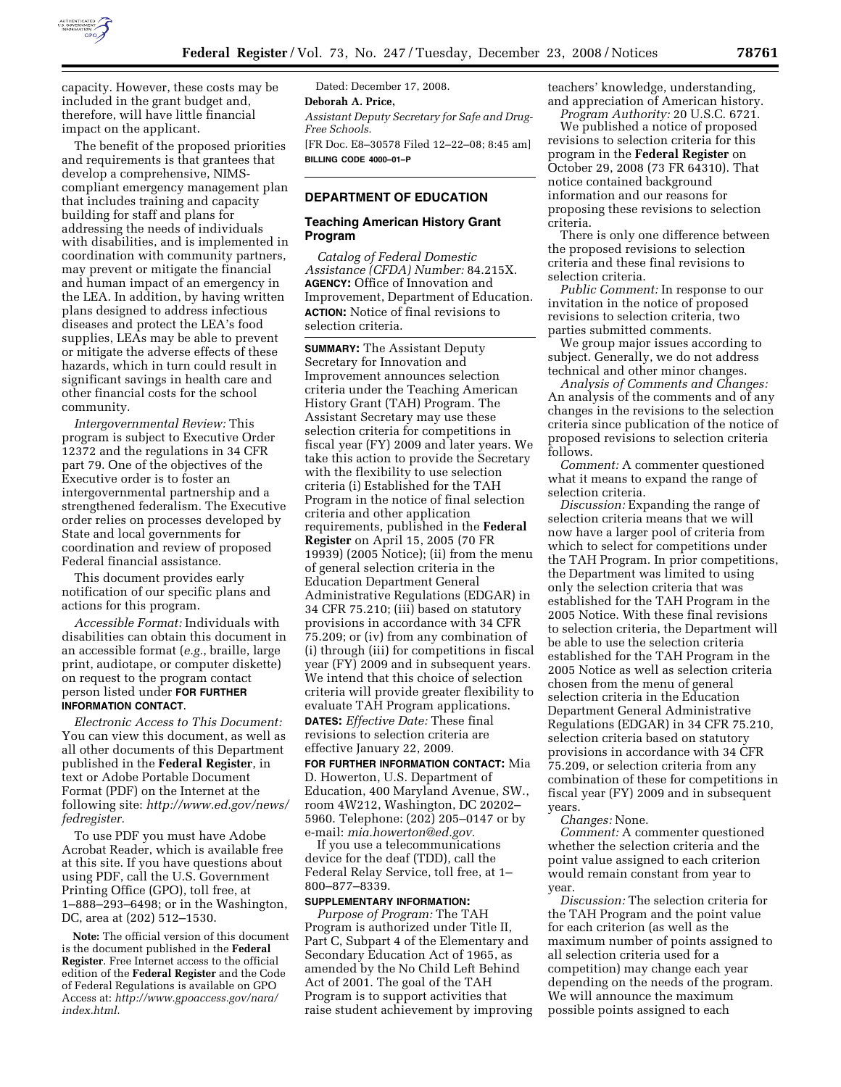

capacity. However, these costs may be included in the grant budget and, therefore, will have little financial impact on the applicant.

The benefit of the proposed priorities and requirements is that grantees that develop a comprehensive, NIMScompliant emergency management plan that includes training and capacity building for staff and plans for addressing the needs of individuals with disabilities, and is implemented in coordination with community partners, may prevent or mitigate the financial and human impact of an emergency in the LEA. In addition, by having written plans designed to address infectious diseases and protect the LEA's food supplies, LEAs may be able to prevent or mitigate the adverse effects of these hazards, which in turn could result in significant savings in health care and other financial costs for the school community.

*Intergovernmental Review:* This program is subject to Executive Order 12372 and the regulations in 34 CFR part 79. One of the objectives of the Executive order is to foster an intergovernmental partnership and a strengthened federalism. The Executive order relies on processes developed by State and local governments for coordination and review of proposed Federal financial assistance.

This document provides early notification of our specific plans and actions for this program.

*Accessible Format:* Individuals with disabilities can obtain this document in an accessible format (*e.g.*, braille, large print, audiotape, or computer diskette) on request to the program contact person listed under **FOR FURTHER INFORMATION CONTACT**.

*Electronic Access to This Document:*  You can view this document, as well as all other documents of this Department published in the **Federal Register**, in text or Adobe Portable Document Format (PDF) on the Internet at the following site: *http://www.ed.gov/news/ fedregister.* 

To use PDF you must have Adobe Acrobat Reader, which is available free at this site. If you have questions about using PDF, call the U.S. Government Printing Office (GPO), toll free, at 1–888–293–6498; or in the Washington, DC, area at (202) 512–1530.

**Note:** The official version of this document is the document published in the **Federal Register**. Free Internet access to the official edition of the **Federal Register** and the Code of Federal Regulations is available on GPO Access at: *http://www.gpoaccess.gov/nara/ index.html.* 

Dated: December 17, 2008. **Deborah A. Price,**  *Assistant Deputy Secretary for Safe and Drug-Free Schools.*  [FR Doc. E8–30578 Filed 12–22–08; 8:45 am] **BILLING CODE 4000–01–P** 

### **DEPARTMENT OF EDUCATION**

#### **Teaching American History Grant Program**

*Catalog of Federal Domestic Assistance (CFDA) Number:* 84.215X. **AGENCY:** Office of Innovation and Improvement, Department of Education. **ACTION:** Notice of final revisions to selection criteria.

**SUMMARY:** The Assistant Deputy Secretary for Innovation and Improvement announces selection criteria under the Teaching American History Grant (TAH) Program. The Assistant Secretary may use these selection criteria for competitions in fiscal year (FY) 2009 and later years. We take this action to provide the Secretary with the flexibility to use selection criteria (i) Established for the TAH Program in the notice of final selection criteria and other application requirements, published in the **Federal Register** on April 15, 2005 (70 FR 19939) (2005 Notice); (ii) from the menu of general selection criteria in the Education Department General Administrative Regulations (EDGAR) in 34 CFR 75.210; (iii) based on statutory provisions in accordance with 34 CFR 75.209; or (iv) from any combination of (i) through (iii) for competitions in fiscal year (FY) 2009 and in subsequent years. We intend that this choice of selection criteria will provide greater flexibility to evaluate TAH Program applications.

**DATES:** *Effective Date:* These final revisions to selection criteria are effective January 22, 2009.

**FOR FURTHER INFORMATION CONTACT:** Mia D. Howerton, U.S. Department of Education, 400 Maryland Avenue, SW., room 4W212, Washington, DC 20202– 5960. Telephone: (202) 205–0147 or by e-mail: *mia.howerton@ed.gov.* 

If you use a telecommunications device for the deaf (TDD), call the Federal Relay Service, toll free, at 1– 800–877–8339.

#### **SUPPLEMENTARY INFORMATION:**

*Purpose of Program:* The TAH Program is authorized under Title II, Part C, Subpart 4 of the Elementary and Secondary Education Act of 1965, as amended by the No Child Left Behind Act of 2001. The goal of the TAH Program is to support activities that raise student achievement by improving teachers' knowledge, understanding, and appreciation of American history.

*Program Authority:* 20 U.S.C. 6721. We published a notice of proposed revisions to selection criteria for this program in the **Federal Register** on October 29, 2008 (73 FR 64310). That notice contained background information and our reasons for proposing these revisions to selection criteria.

There is only one difference between the proposed revisions to selection criteria and these final revisions to selection criteria.

*Public Comment:* In response to our invitation in the notice of proposed revisions to selection criteria, two parties submitted comments.

We group major issues according to subject. Generally, we do not address technical and other minor changes.

*Analysis of Comments and Changes:*  An analysis of the comments and of any changes in the revisions to the selection criteria since publication of the notice of proposed revisions to selection criteria follows.

*Comment:* A commenter questioned what it means to expand the range of selection criteria.

*Discussion:* Expanding the range of selection criteria means that we will now have a larger pool of criteria from which to select for competitions under the TAH Program. In prior competitions, the Department was limited to using only the selection criteria that was established for the TAH Program in the 2005 Notice. With these final revisions to selection criteria, the Department will be able to use the selection criteria established for the TAH Program in the 2005 Notice as well as selection criteria chosen from the menu of general selection criteria in the Education Department General Administrative Regulations (EDGAR) in 34 CFR 75.210, selection criteria based on statutory provisions in accordance with 34 CFR 75.209, or selection criteria from any combination of these for competitions in fiscal year (FY) 2009 and in subsequent years.

*Changes:* None.

*Comment:* A commenter questioned whether the selection criteria and the point value assigned to each criterion would remain constant from year to year.

*Discussion:* The selection criteria for the TAH Program and the point value for each criterion (as well as the maximum number of points assigned to all selection criteria used for a competition) may change each year depending on the needs of the program. We will announce the maximum possible points assigned to each